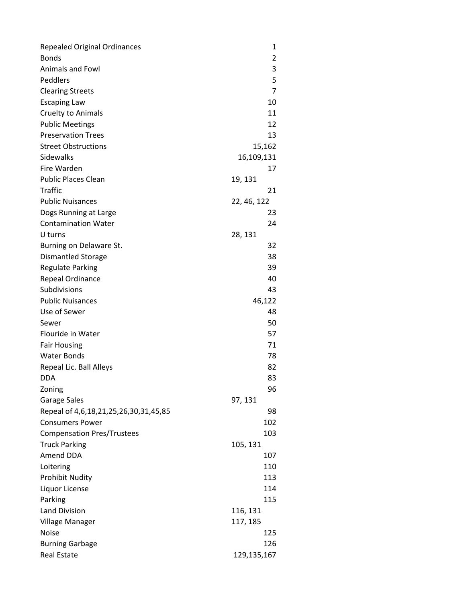| <b>Repealed Original Ordinances</b>   | 1           |
|---------------------------------------|-------------|
| <b>Bonds</b>                          | 2           |
| Animals and Fowl                      | 3           |
| Peddlers                              | 5           |
| <b>Clearing Streets</b>               | 7           |
| <b>Escaping Law</b>                   | 10          |
| Cruelty to Animals                    | 11          |
| <b>Public Meetings</b>                | 12          |
| <b>Preservation Trees</b>             | 13          |
| <b>Street Obstructions</b>            | 15,162      |
| Sidewalks                             | 16,109,131  |
| Fire Warden                           | 17          |
| <b>Public Places Clean</b>            | 19, 131     |
| <b>Traffic</b>                        | 21          |
| <b>Public Nuisances</b>               | 22, 46, 122 |
| Dogs Running at Large                 | 23          |
| <b>Contamination Water</b>            | 24          |
| U turns                               | 28, 131     |
| Burning on Delaware St.               | 32          |
| <b>Dismantled Storage</b>             | 38          |
| <b>Regulate Parking</b>               | 39          |
| Repeal Ordinance                      | 40          |
| Subdivisions                          | 43          |
| <b>Public Nuisances</b>               | 46,122      |
| Use of Sewer                          | 48          |
| Sewer                                 | 50          |
| Flouride in Water                     | 57          |
| <b>Fair Housing</b>                   | 71          |
| <b>Water Bonds</b>                    | 78          |
| Repeal Lic. Ball Alleys               | 82          |
| <b>DDA</b>                            | 83          |
| Zoning                                | 96          |
| Garage Sales                          | 97, 131     |
| Repeal of 4,6,18,21,25,26,30,31,45,85 | 98          |
| <b>Consumers Power</b>                | 102         |
| <b>Compensation Pres/Trustees</b>     | 103         |
| <b>Truck Parking</b>                  | 105, 131    |
| Amend DDA                             | 107         |
| Loitering                             | 110         |
| <b>Prohibit Nudity</b>                | 113         |
| Liquor License                        | 114         |
| Parking                               | 115         |
| <b>Land Division</b>                  | 116, 131    |
| Village Manager                       | 117, 185    |
| <b>Noise</b>                          | 125         |
| <b>Burning Garbage</b>                | 126         |
| <b>Real Estate</b>                    | 129,135,167 |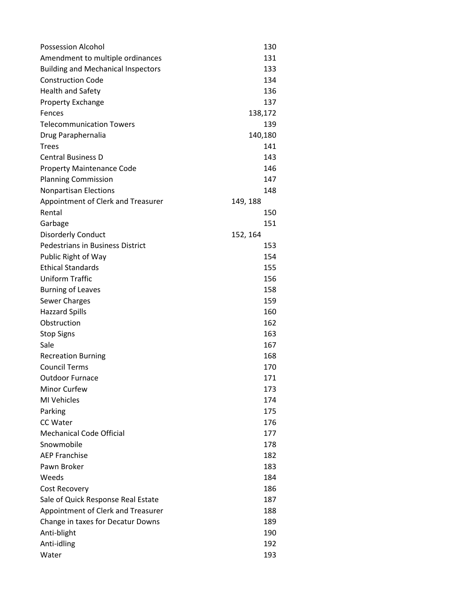| Possession Alcohol                        | 130      |
|-------------------------------------------|----------|
| Amendment to multiple ordinances          | 131      |
| <b>Building and Mechanical Inspectors</b> | 133      |
| <b>Construction Code</b>                  | 134      |
| <b>Health and Safety</b>                  | 136      |
| <b>Property Exchange</b>                  | 137      |
| Fences                                    | 138,172  |
| <b>Telecommunication Towers</b>           | 139      |
| Drug Paraphernalia                        | 140,180  |
| <b>Trees</b>                              | 141      |
| <b>Central Business D</b>                 | 143      |
| <b>Property Maintenance Code</b>          | 146      |
| <b>Planning Commission</b>                | 147      |
| <b>Nonpartisan Elections</b>              | 148      |
| Appointment of Clerk and Treasurer        | 149, 188 |
| Rental                                    | 150      |
| Garbage                                   | 151      |
| <b>Disorderly Conduct</b>                 | 152, 164 |
| <b>Pedestrians in Business District</b>   | 153      |
| Public Right of Way                       | 154      |
| <b>Ethical Standards</b>                  | 155      |
| <b>Uniform Traffic</b>                    | 156      |
| <b>Burning of Leaves</b>                  | 158      |
| <b>Sewer Charges</b>                      | 159      |
| <b>Hazzard Spills</b>                     | 160      |
| Obstruction                               | 162      |
| <b>Stop Signs</b>                         | 163      |
| Sale                                      | 167      |
| <b>Recreation Burning</b>                 | 168      |
| <b>Council Terms</b>                      | 170      |
| <b>Outdoor Furnace</b>                    | 171      |
| Minor Curfew                              | 173      |
| <b>MI Vehicles</b>                        | 174      |
| Parking                                   | 175      |
| <b>CC Water</b>                           | 176      |
| <b>Mechanical Code Official</b>           | 177      |
| Snowmobile                                | 178      |
| <b>AEP Franchise</b>                      | 182      |
| Pawn Broker                               | 183      |
| Weeds                                     | 184      |
| <b>Cost Recovery</b>                      | 186      |
| Sale of Quick Response Real Estate        | 187      |
| Appointment of Clerk and Treasurer        | 188      |
| Change in taxes for Decatur Downs         | 189      |
| Anti-blight                               | 190      |
| Anti-idling                               | 192      |
| Water                                     | 193      |